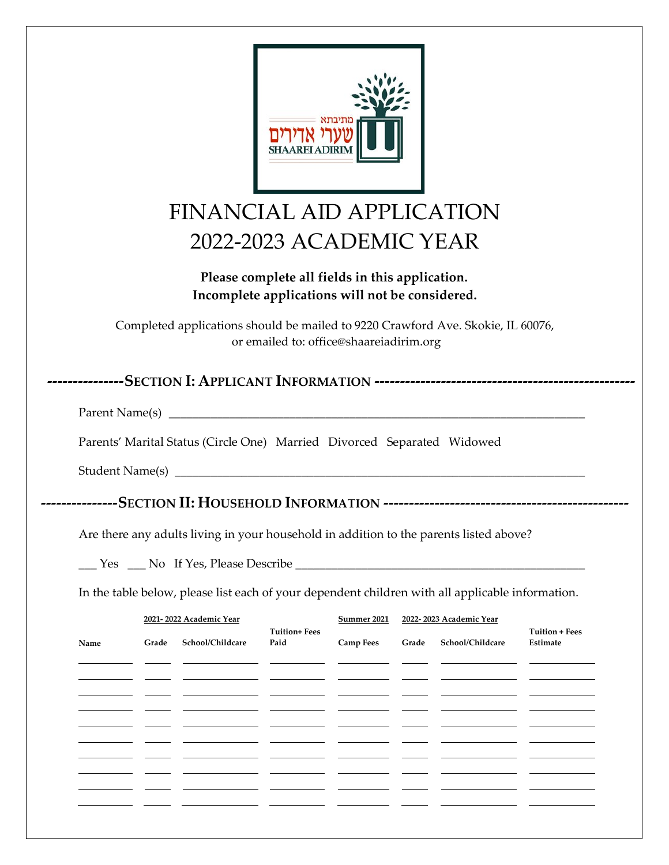| Parents' Marital Status (Circle One) Married Divorced Separated Widowed<br>Are there any adults living in your household in addition to the parents listed above?<br>In the table below, please list each of your dependent children with all applicable information. | FINANCIAL AID APPLICATION<br>Completed applications should be mailed to 9220 Crawford Ave. Skokie, IL 60076, | 2022-2023 ACADEMIC YEAR<br>Please complete all fields in this application.<br>Incomplete applications will not be considered.<br>or emailed to: office@shaareiadirim.org |                  |       |                         |                                   |
|-----------------------------------------------------------------------------------------------------------------------------------------------------------------------------------------------------------------------------------------------------------------------|--------------------------------------------------------------------------------------------------------------|--------------------------------------------------------------------------------------------------------------------------------------------------------------------------|------------------|-------|-------------------------|-----------------------------------|
|                                                                                                                                                                                                                                                                       |                                                                                                              |                                                                                                                                                                          |                  |       |                         |                                   |
|                                                                                                                                                                                                                                                                       |                                                                                                              |                                                                                                                                                                          |                  |       |                         |                                   |
|                                                                                                                                                                                                                                                                       |                                                                                                              |                                                                                                                                                                          |                  |       |                         |                                   |
|                                                                                                                                                                                                                                                                       |                                                                                                              |                                                                                                                                                                          |                  |       |                         |                                   |
|                                                                                                                                                                                                                                                                       |                                                                                                              |                                                                                                                                                                          |                  |       |                         |                                   |
|                                                                                                                                                                                                                                                                       |                                                                                                              |                                                                                                                                                                          |                  |       |                         |                                   |
|                                                                                                                                                                                                                                                                       |                                                                                                              |                                                                                                                                                                          |                  |       |                         |                                   |
|                                                                                                                                                                                                                                                                       |                                                                                                              |                                                                                                                                                                          |                  |       |                         |                                   |
|                                                                                                                                                                                                                                                                       |                                                                                                              |                                                                                                                                                                          |                  |       |                         |                                   |
|                                                                                                                                                                                                                                                                       |                                                                                                              |                                                                                                                                                                          |                  |       |                         |                                   |
|                                                                                                                                                                                                                                                                       |                                                                                                              |                                                                                                                                                                          |                  |       |                         |                                   |
|                                                                                                                                                                                                                                                                       |                                                                                                              |                                                                                                                                                                          |                  |       |                         |                                   |
|                                                                                                                                                                                                                                                                       | 2021-2022 Academic Year                                                                                      |                                                                                                                                                                          | Summer 2021      |       | 2022-2023 Academic Year |                                   |
| Grade<br>Name                                                                                                                                                                                                                                                         | School/Childcare                                                                                             | <b>Tuition+ Fees</b><br>Paid                                                                                                                                             | <b>Camp Fees</b> | Grade | School/Childcare        | <b>Tuition + Fees</b><br>Estimate |
|                                                                                                                                                                                                                                                                       |                                                                                                              |                                                                                                                                                                          |                  |       |                         |                                   |
|                                                                                                                                                                                                                                                                       |                                                                                                              |                                                                                                                                                                          |                  |       |                         |                                   |
|                                                                                                                                                                                                                                                                       |                                                                                                              |                                                                                                                                                                          |                  |       |                         |                                   |
|                                                                                                                                                                                                                                                                       |                                                                                                              |                                                                                                                                                                          |                  |       |                         |                                   |
|                                                                                                                                                                                                                                                                       |                                                                                                              |                                                                                                                                                                          |                  |       |                         |                                   |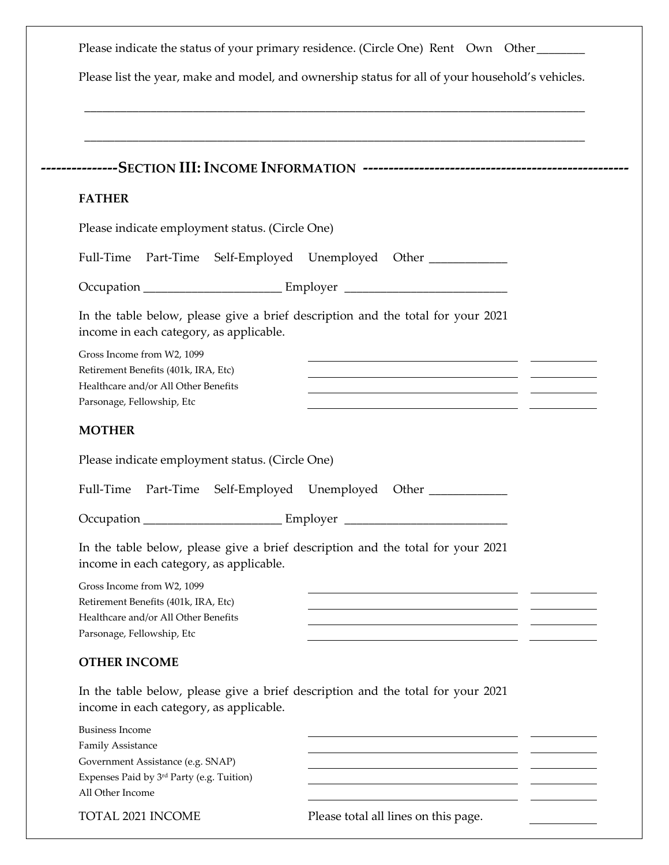|                                                                                                                                                                                                                                                                                                                                             | Please list the year, make and model, and ownership status for all of your household's vehicles.                                                                                     |
|---------------------------------------------------------------------------------------------------------------------------------------------------------------------------------------------------------------------------------------------------------------------------------------------------------------------------------------------|--------------------------------------------------------------------------------------------------------------------------------------------------------------------------------------|
|                                                                                                                                                                                                                                                                                                                                             |                                                                                                                                                                                      |
| <b>FATHER</b>                                                                                                                                                                                                                                                                                                                               |                                                                                                                                                                                      |
| Please indicate employment status. (Circle One)                                                                                                                                                                                                                                                                                             |                                                                                                                                                                                      |
| Full-Time                                                                                                                                                                                                                                                                                                                                   | Part-Time Self-Employed Unemployed Other ____________                                                                                                                                |
|                                                                                                                                                                                                                                                                                                                                             |                                                                                                                                                                                      |
| In the table below, please give a brief description and the total for your 2021<br>income in each category, as applicable.                                                                                                                                                                                                                  |                                                                                                                                                                                      |
| Gross Income from W2, 1099<br>Retirement Benefits (401k, IRA, Etc)<br>Healthcare and/or All Other Benefits<br>Parsonage, Fellowship, Etc                                                                                                                                                                                                    | <u> 1980 - Jan Samuel Barbara, margaret eta biztanleria (h. 1908).</u><br><u> 1990 - Jan James Sandarík (f. 1980)</u><br><u> 1989 - Johann John Stone, markin fizikar (h. 1989).</u> |
| <b>MOTHER</b>                                                                                                                                                                                                                                                                                                                               |                                                                                                                                                                                      |
| Please indicate employment status. (Circle One)                                                                                                                                                                                                                                                                                             |                                                                                                                                                                                      |
| Full-Time                                                                                                                                                                                                                                                                                                                                   | Part-Time Self-Employed Unemployed Other                                                                                                                                             |
| Occupation_<br>______ Employer                                                                                                                                                                                                                                                                                                              |                                                                                                                                                                                      |
| In the table below, please give a brief description and the total for your 2021<br>income in each category, as applicable.<br>Gross Income from W2, 1099<br>Retirement Benefits (401k, IRA, Etc)                                                                                                                                            |                                                                                                                                                                                      |
| Healthcare and/or All Other Benefits                                                                                                                                                                                                                                                                                                        | <u> 1989 - Johann Barn, mars et al. (b. 1989)</u>                                                                                                                                    |
|                                                                                                                                                                                                                                                                                                                                             |                                                                                                                                                                                      |
|                                                                                                                                                                                                                                                                                                                                             |                                                                                                                                                                                      |
|                                                                                                                                                                                                                                                                                                                                             |                                                                                                                                                                                      |
| Parsonage, Fellowship, Etc<br><b>OTHER INCOME</b><br>In the table below, please give a brief description and the total for your 2021<br>income in each category, as applicable.<br><b>Business Income</b><br><b>Family Assistance</b><br>Government Assistance (e.g. SNAP)<br>Expenses Paid by 3rd Party (e.g. Tuition)<br>All Other Income | <u> 1989 - Johann Barn, mars eta biztanleria (h. 1989).</u><br><u> 1989 - Johann Barn, mars ann an t-Amhain Aonaich an t-Aonaich an t-Aonaich ann an t-Aonaich ann an t-Aonaich</u>  |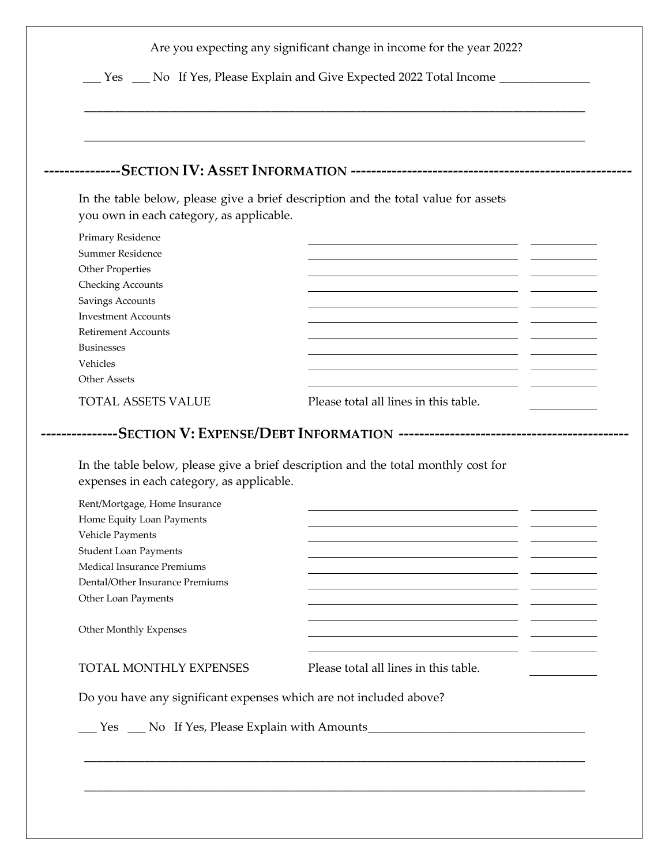| you own in each category, as applicable.                                                                                    | In the table below, please give a brief description and the total value for assets |
|-----------------------------------------------------------------------------------------------------------------------------|------------------------------------------------------------------------------------|
| Primary Residence<br>Summer Residence                                                                                       |                                                                                    |
| Other Properties                                                                                                            |                                                                                    |
| <b>Checking Accounts</b>                                                                                                    |                                                                                    |
| Savings Accounts<br><b>Investment Accounts</b>                                                                              |                                                                                    |
| <b>Retirement Accounts</b>                                                                                                  |                                                                                    |
| <b>Businesses</b><br>Vehicles                                                                                               |                                                                                    |
| Other Assets                                                                                                                |                                                                                    |
| <b>TOTAL ASSETS VALUE</b>                                                                                                   | Please total all lines in this table.                                              |
|                                                                                                                             |                                                                                    |
| expenses in each category, as applicable.<br>Rent/Mortgage, Home Insurance<br>Home Equity Loan Payments<br>Vehicle Payments | In the table below, please give a brief description and the total monthly cost for |
| <b>Student Loan Payments</b>                                                                                                | <u> 1989 - Johann Barn, mars et al. (b. 1989)</u>                                  |
| Medical Insurance Premiums<br>Dental/Other Insurance Premiums                                                               |                                                                                    |
| Other Loan Payments                                                                                                         |                                                                                    |
| Other Monthly Expenses                                                                                                      | <u> 1989 - Johann Barn, fransk politik (d. 1989)</u>                               |
| TOTAL MONTHLY EXPENSES                                                                                                      | Please total all lines in this table.                                              |
| Do you have any significant expenses which are not included above?                                                          |                                                                                    |